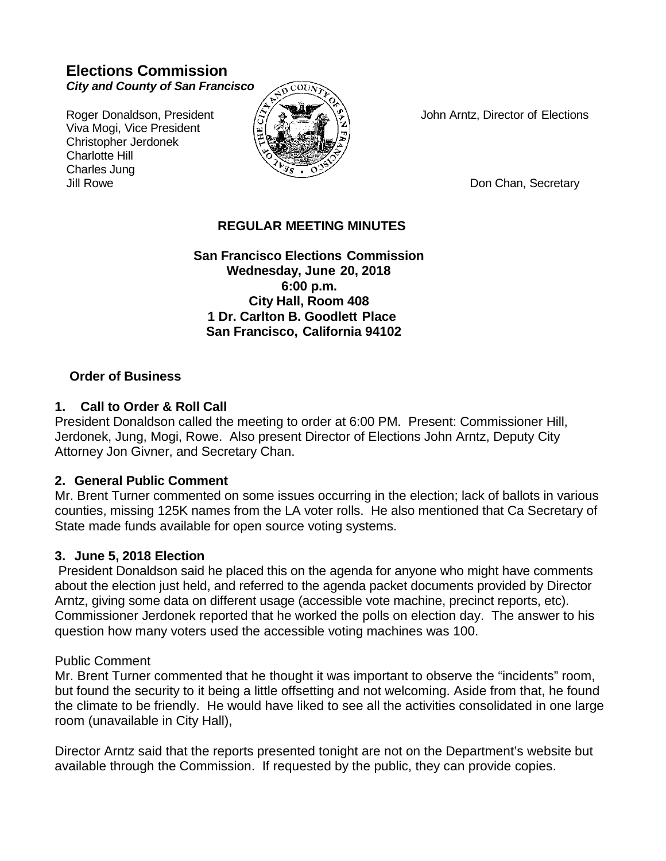# **Elections Commission** *City and County of San Francisco*

Viva Mogi, Vice President Christopher Jerdonek Charlotte Hill Charles Jung Jill Rowe **Don Chan, Secretary Don Chan, Secretary** 



Roger Donaldson, President  $\langle \hat{\mathbb{Z}} \rangle$   $\langle \hat{\mathbb{Z}} \rangle$  John Arntz, Director of Elections

## **REGULAR MEETING MINUTES**

**San Francisco Elections Commission Wednesday, June 20, 2018 6:00 p.m. City Hall, Room 408 1 Dr. Carlton B. Goodlett Place San Francisco, California 94102**

### **Order of Business**

### **1. Call to Order & Roll Call**

President Donaldson called the meeting to order at 6:00 PM. Present: Commissioner Hill, Jerdonek, Jung, Mogi, Rowe. Also present Director of Elections John Arntz, Deputy City Attorney Jon Givner, and Secretary Chan.

### **2. General Public Comment**

Mr. Brent Turner commented on some issues occurring in the election; lack of ballots in various counties, missing 125K names from the LA voter rolls. He also mentioned that Ca Secretary of State made funds available for open source voting systems.

### **3. June 5, 2018 Election**

President Donaldson said he placed this on the agenda for anyone who might have comments about the election just held, and referred to the agenda packet documents provided by Director Arntz, giving some data on different usage (accessible vote machine, precinct reports, etc). Commissioner Jerdonek reported that he worked the polls on election day. The answer to his question how many voters used the accessible voting machines was 100.

### Public Comment

Mr. Brent Turner commented that he thought it was important to observe the "incidents" room, but found the security to it being a little offsetting and not welcoming. Aside from that, he found the climate to be friendly. He would have liked to see all the activities consolidated in one large room (unavailable in City Hall),

Director Arntz said that the reports presented tonight are not on the Department's website but available through the Commission. If requested by the public, they can provide copies.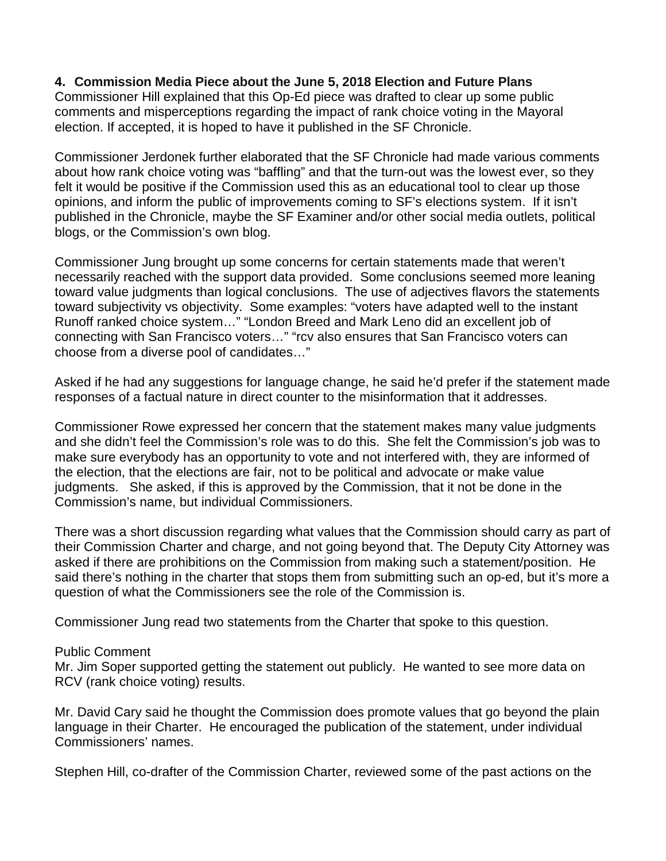### **4. Commission Media Piece about the June 5, 2018 Election and Future Plans**

Commissioner Hill explained that this Op-Ed piece was drafted to clear up some public comments and misperceptions regarding the impact of rank choice voting in the Mayoral election. If accepted, it is hoped to have it published in the SF Chronicle.

Commissioner Jerdonek further elaborated that the SF Chronicle had made various comments about how rank choice voting was "baffling" and that the turn-out was the lowest ever, so they felt it would be positive if the Commission used this as an educational tool to clear up those opinions, and inform the public of improvements coming to SF's elections system. If it isn't published in the Chronicle, maybe the SF Examiner and/or other social media outlets, political blogs, or the Commission's own blog.

Commissioner Jung brought up some concerns for certain statements made that weren't necessarily reached with the support data provided. Some conclusions seemed more leaning toward value judgments than logical conclusions. The use of adjectives flavors the statements toward subjectivity vs objectivity. Some examples: "voters have adapted well to the instant Runoff ranked choice system…" "London Breed and Mark Leno did an excellent job of connecting with San Francisco voters…" "rcv also ensures that San Francisco voters can choose from a diverse pool of candidates…"

Asked if he had any suggestions for language change, he said he'd prefer if the statement made responses of a factual nature in direct counter to the misinformation that it addresses.

Commissioner Rowe expressed her concern that the statement makes many value judgments and she didn't feel the Commission's role was to do this. She felt the Commission's job was to make sure everybody has an opportunity to vote and not interfered with, they are informed of the election, that the elections are fair, not to be political and advocate or make value judgments. She asked, if this is approved by the Commission, that it not be done in the Commission's name, but individual Commissioners.

There was a short discussion regarding what values that the Commission should carry as part of their Commission Charter and charge, and not going beyond that. The Deputy City Attorney was asked if there are prohibitions on the Commission from making such a statement/position. He said there's nothing in the charter that stops them from submitting such an op-ed, but it's more a question of what the Commissioners see the role of the Commission is.

Commissioner Jung read two statements from the Charter that spoke to this question.

#### Public Comment

Mr. Jim Soper supported getting the statement out publicly. He wanted to see more data on RCV (rank choice voting) results.

Mr. David Cary said he thought the Commission does promote values that go beyond the plain language in their Charter. He encouraged the publication of the statement, under individual Commissioners' names.

Stephen Hill, co-drafter of the Commission Charter, reviewed some of the past actions on the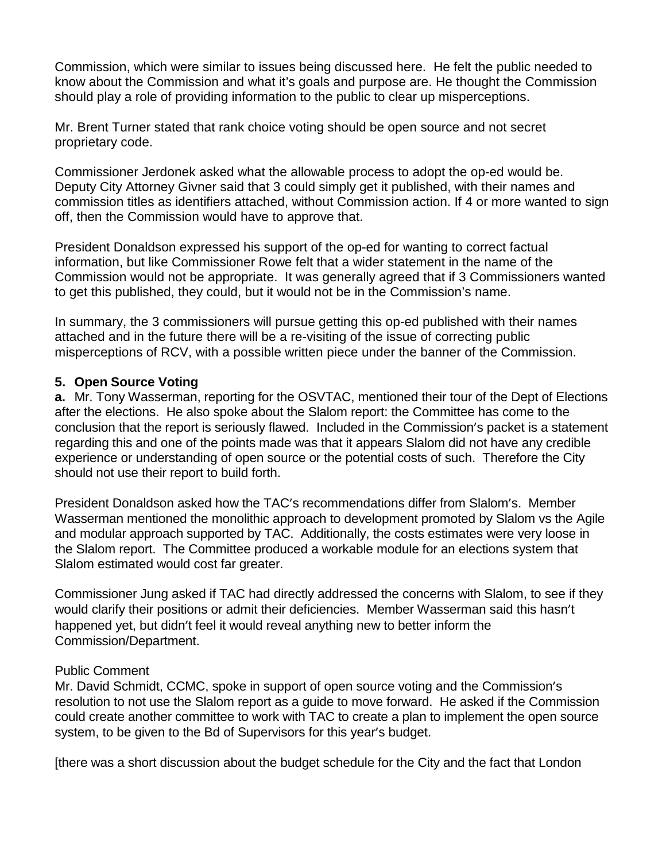Commission, which were similar to issues being discussed here. He felt the public needed to know about the Commission and what it's goals and purpose are. He thought the Commission should play a role of providing information to the public to clear up misperceptions.

Mr. Brent Turner stated that rank choice voting should be open source and not secret proprietary code.

Commissioner Jerdonek asked what the allowable process to adopt the op-ed would be. Deputy City Attorney Givner said that 3 could simply get it published, with their names and commission titles as identifiers attached, without Commission action. If 4 or more wanted to sign off, then the Commission would have to approve that.

President Donaldson expressed his support of the op-ed for wanting to correct factual information, but like Commissioner Rowe felt that a wider statement in the name of the Commission would not be appropriate. It was generally agreed that if 3 Commissioners wanted to get this published, they could, but it would not be in the Commission's name.

In summary, the 3 commissioners will pursue getting this op-ed published with their names attached and in the future there will be a re-visiting of the issue of correcting public misperceptions of RCV, with a possible written piece under the banner of the Commission.

## **5. Open Source Voting**

**a.** Mr. Tony Wasserman, reporting for the OSVTAC, mentioned their tour of the Dept of Elections after the elections. He also spoke about the Slalom report: the Committee has come to the conclusion that the report is seriously flawed. Included in the Commission's packet is a statement regarding this and one of the points made was that it appears Slalom did not have any credible experience or understanding of open source or the potential costs of such. Therefore the City should not use their report to build forth.

President Donaldson asked how the TAC's recommendations differ from Slalom's. Member Wasserman mentioned the monolithic approach to development promoted by Slalom vs the Agile and modular approach supported by TAC. Additionally, the costs estimates were very loose in the Slalom report. The Committee produced a workable module for an elections system that Slalom estimated would cost far greater.

Commissioner Jung asked if TAC had directly addressed the concerns with Slalom, to see if they would clarify their positions or admit their deficiencies. Member Wasserman said this hasn't happened yet, but didn't feel it would reveal anything new to better inform the Commission/Department.

# Public Comment

Mr. David Schmidt, CCMC, spoke in support of open source voting and the Commission's resolution to not use the Slalom report as a guide to move forward. He asked if the Commission could create another committee to work with TAC to create a plan to implement the open source system, to be given to the Bd of Supervisors for this year's budget.

[there was a short discussion about the budget schedule for the City and the fact that London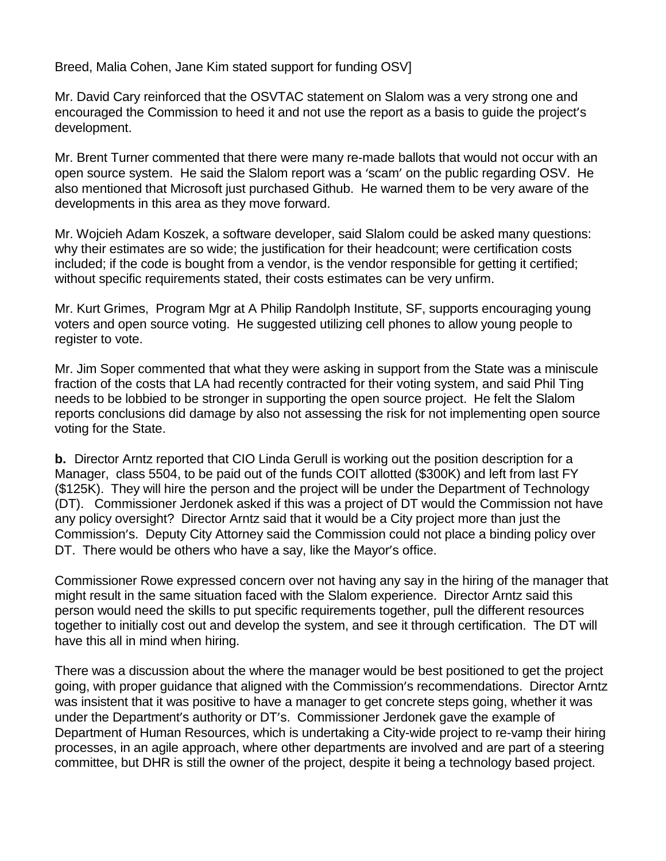Breed, Malia Cohen, Jane Kim stated support for funding OSV]

Mr. David Cary reinforced that the OSVTAC statement on Slalom was a very strong one and encouraged the Commission to heed it and not use the report as a basis to guide the project's development.

Mr. Brent Turner commented that there were many re-made ballots that would not occur with an open source system. He said the Slalom report was a 'scam' on the public regarding OSV. He also mentioned that Microsoft just purchased Github. He warned them to be very aware of the developments in this area as they move forward.

Mr. Wojcieh Adam Koszek, a software developer, said Slalom could be asked many questions: why their estimates are so wide; the justification for their headcount; were certification costs included; if the code is bought from a vendor, is the vendor responsible for getting it certified; without specific requirements stated, their costs estimates can be very unfirm.

Mr. Kurt Grimes, Program Mgr at A Philip Randolph Institute, SF, supports encouraging young voters and open source voting. He suggested utilizing cell phones to allow young people to register to vote.

Mr. Jim Soper commented that what they were asking in support from the State was a miniscule fraction of the costs that LA had recently contracted for their voting system, and said Phil Ting needs to be lobbied to be stronger in supporting the open source project. He felt the Slalom reports conclusions did damage by also not assessing the risk for not implementing open source voting for the State.

**b.** Director Arntz reported that CIO Linda Gerull is working out the position description for a Manager, class 5504, to be paid out of the funds COIT allotted (\$300K) and left from last FY (\$125K). They will hire the person and the project will be under the Department of Technology (DT). Commissioner Jerdonek asked if this was a project of DT would the Commission not have any policy oversight? Director Arntz said that it would be a City project more than just the Commission's. Deputy City Attorney said the Commission could not place a binding policy over DT. There would be others who have a say, like the Mayor's office.

Commissioner Rowe expressed concern over not having any say in the hiring of the manager that might result in the same situation faced with the Slalom experience. Director Arntz said this person would need the skills to put specific requirements together, pull the different resources together to initially cost out and develop the system, and see it through certification. The DT will have this all in mind when hiring.

There was a discussion about the where the manager would be best positioned to get the project going, with proper guidance that aligned with the Commission's recommendations. Director Arntz was insistent that it was positive to have a manager to get concrete steps going, whether it was under the Department's authority or DT's. Commissioner Jerdonek gave the example of Department of Human Resources, which is undertaking a City-wide project to re-vamp their hiring processes, in an agile approach, where other departments are involved and are part of a steering committee, but DHR is still the owner of the project, despite it being a technology based project.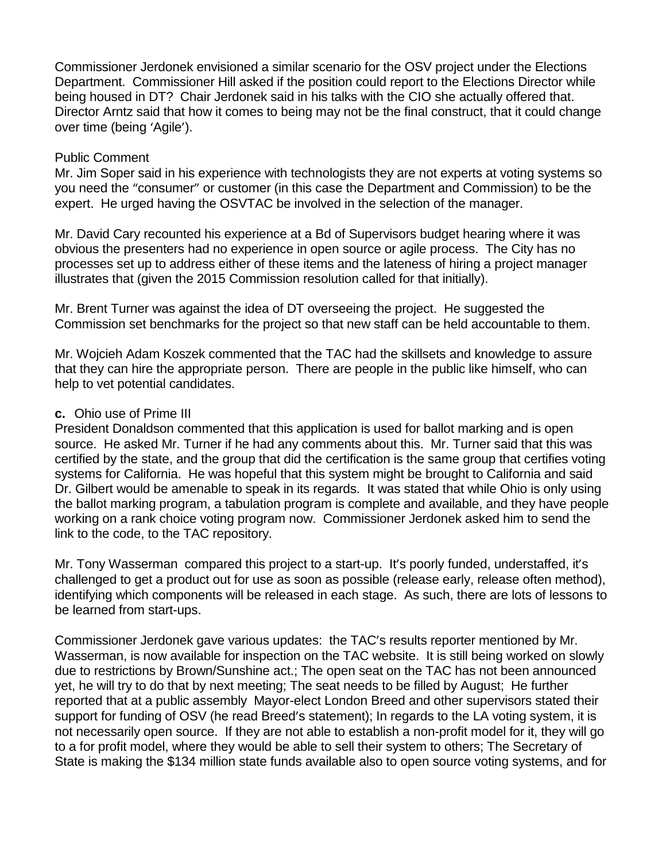Commissioner Jerdonek envisioned a similar scenario for the OSV project under the Elections Department. Commissioner Hill asked if the position could report to the Elections Director while being housed in DT? Chair Jerdonek said in his talks with the CIO she actually offered that. Director Arntz said that how it comes to being may not be the final construct, that it could change over time (being 'Agile').

### Public Comment

Mr. Jim Soper said in his experience with technologists they are not experts at voting systems so you need the "consumer" or customer (in this case the Department and Commission) to be the expert. He urged having the OSVTAC be involved in the selection of the manager.

Mr. David Cary recounted his experience at a Bd of Supervisors budget hearing where it was obvious the presenters had no experience in open source or agile process. The City has no processes set up to address either of these items and the lateness of hiring a project manager illustrates that (given the 2015 Commission resolution called for that initially).

Mr. Brent Turner was against the idea of DT overseeing the project. He suggested the Commission set benchmarks for the project so that new staff can be held accountable to them.

Mr. Wojcieh Adam Koszek commented that the TAC had the skillsets and knowledge to assure that they can hire the appropriate person. There are people in the public like himself, who can help to vet potential candidates.

## **c.** Ohio use of Prime III

President Donaldson commented that this application is used for ballot marking and is open source. He asked Mr. Turner if he had any comments about this. Mr. Turner said that this was certified by the state, and the group that did the certification is the same group that certifies voting systems for California. He was hopeful that this system might be brought to California and said Dr. Gilbert would be amenable to speak in its regards. It was stated that while Ohio is only using the ballot marking program, a tabulation program is complete and available, and they have people working on a rank choice voting program now. Commissioner Jerdonek asked him to send the link to the code, to the TAC repository.

Mr. Tony Wasserman compared this project to a start-up. It's poorly funded, understaffed, it's challenged to get a product out for use as soon as possible (release early, release often method), identifying which components will be released in each stage. As such, there are lots of lessons to be learned from start-ups.

Commissioner Jerdonek gave various updates: the TAC's results reporter mentioned by Mr. Wasserman, is now available for inspection on the TAC website. It is still being worked on slowly due to restrictions by Brown/Sunshine act.; The open seat on the TAC has not been announced yet, he will try to do that by next meeting; The seat needs to be filled by August; He further reported that at a public assembly Mayor-elect London Breed and other supervisors stated their support for funding of OSV (he read Breed's statement); In regards to the LA voting system, it is not necessarily open source. If they are not able to establish a non-profit model for it, they will go to a for profit model, where they would be able to sell their system to others; The Secretary of State is making the \$134 million state funds available also to open source voting systems, and for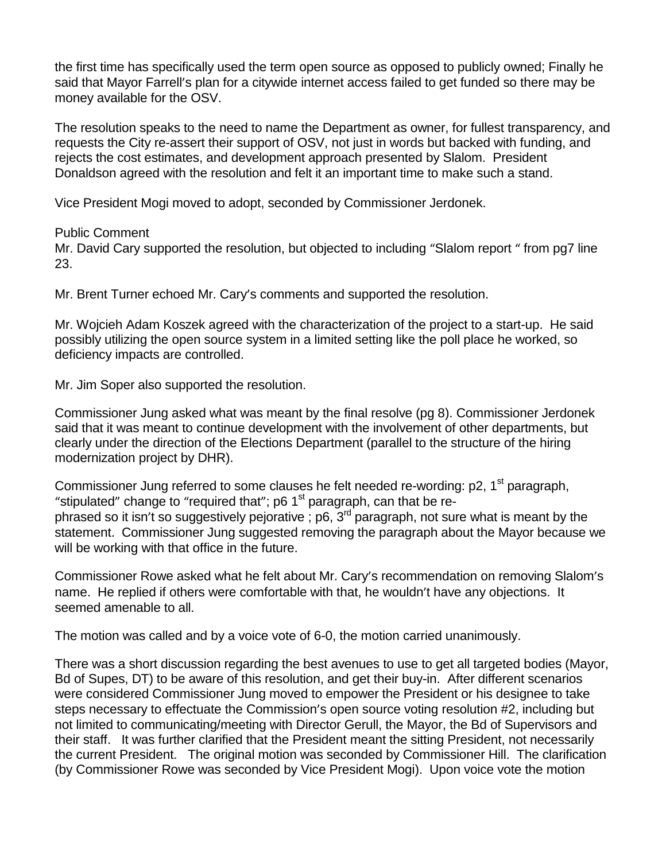the first time has specifically used the term open source as opposed to publicly owned; Finally he said that Mayor Farrell's plan for a citywide internet access failed to get funded so there may be money available for the OSV.

The resolution speaks to the need to name the Department as owner, for fullest transparency, and requests the City re-assert their support of OSV, not just in words but backed with funding, and rejects the cost estimates, and development approach presented by Slalom. President Donaldson agreed with the resolution and felt it an important time to make such a stand.

Vice President Mogi moved to adopt, seconded by Commissioner Jerdonek.

### Public Comment

Mr. David Cary supported the resolution, but objected to including "Slalom report " from pg7 line 23.

Mr. Brent Turner echoed Mr. Cary's comments and supported the resolution.

Mr. Wojcieh Adam Koszek agreed with the characterization of the project to a start-up. He said possibly utilizing the open source system in a limited setting like the poll place he worked, so deficiency impacts are controlled.

Mr. Jim Soper also supported the resolution.

Commissioner Jung asked what was meant by the final resolve (pg 8). Commissioner Jerdonek said that it was meant to continue development with the involvement of other departments, but clearly under the direction of the Elections Department (parallel to the structure of the hiring modernization project by DHR).

Commissioner Jung referred to some clauses he felt needed re-wording: p2, 1<sup>st</sup> paragraph, "stipulated" change to "required that"; p6 1<sup>st</sup> paragraph, can that be rephrased so it isn't so suggestively pejorative ; p6,  $3<sup>rd</sup>$  paragraph, not sure what is meant by the statement. Commissioner Jung suggested removing the paragraph about the Mayor because we will be working with that office in the future.

Commissioner Rowe asked what he felt about Mr. Cary's recommendation on removing Slalom's name. He replied if others were comfortable with that, he wouldn't have any objections. It seemed amenable to all.

The motion was called and by a voice vote of 6-0, the motion carried unanimously.

There was a short discussion regarding the best avenues to use to get all targeted bodies (Mayor, Bd of Supes, DT) to be aware of this resolution, and get their buy-in. After different scenarios were considered Commissioner Jung moved to empower the President or his designee to take steps necessary to effectuate the Commission's open source voting resolution #2, including but not limited to communicating/meeting with Director Gerull, the Mayor, the Bd of Supervisors and their staff. It was further clarified that the President meant the sitting President, not necessarily the current President. The original motion was seconded by Commissioner Hill. The clarification (by Commissioner Rowe was seconded by Vice President Mogi). Upon voice vote the motion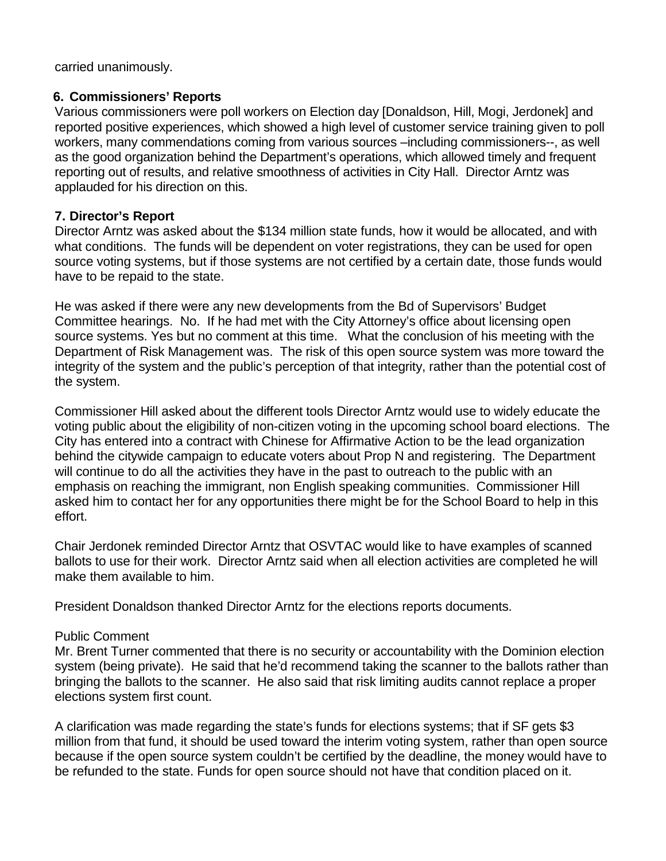carried unanimously.

### **6. Commissioners' Reports**

Various commissioners were poll workers on Election day [Donaldson, Hill, Mogi, Jerdonek] and reported positive experiences, which showed a high level of customer service training given to poll workers, many commendations coming from various sources –including commissioners--, as well as the good organization behind the Department's operations, which allowed timely and frequent reporting out of results, and relative smoothness of activities in City Hall. Director Arntz was applauded for his direction on this.

### **7. Director's Report**

Director Arntz was asked about the \$134 million state funds, how it would be allocated, and with what conditions. The funds will be dependent on voter registrations, they can be used for open source voting systems, but if those systems are not certified by a certain date, those funds would have to be repaid to the state.

He was asked if there were any new developments from the Bd of Supervisors' Budget Committee hearings. No. If he had met with the City Attorney's office about licensing open source systems. Yes but no comment at this time. What the conclusion of his meeting with the Department of Risk Management was. The risk of this open source system was more toward the integrity of the system and the public's perception of that integrity, rather than the potential cost of the system.

Commissioner Hill asked about the different tools Director Arntz would use to widely educate the voting public about the eligibility of non-citizen voting in the upcoming school board elections. The City has entered into a contract with Chinese for Affirmative Action to be the lead organization behind the citywide campaign to educate voters about Prop N and registering. The Department will continue to do all the activities they have in the past to outreach to the public with an emphasis on reaching the immigrant, non English speaking communities. Commissioner Hill asked him to contact her for any opportunities there might be for the School Board to help in this effort.

Chair Jerdonek reminded Director Arntz that OSVTAC would like to have examples of scanned ballots to use for their work. Director Arntz said when all election activities are completed he will make them available to him.

President Donaldson thanked Director Arntz for the elections reports documents.

### Public Comment

Mr. Brent Turner commented that there is no security or accountability with the Dominion election system (being private). He said that he'd recommend taking the scanner to the ballots rather than bringing the ballots to the scanner. He also said that risk limiting audits cannot replace a proper elections system first count.

A clarification was made regarding the state's funds for elections systems; that if SF gets \$3 million from that fund, it should be used toward the interim voting system, rather than open source because if the open source system couldn't be certified by the deadline, the money would have to be refunded to the state. Funds for open source should not have that condition placed on it.